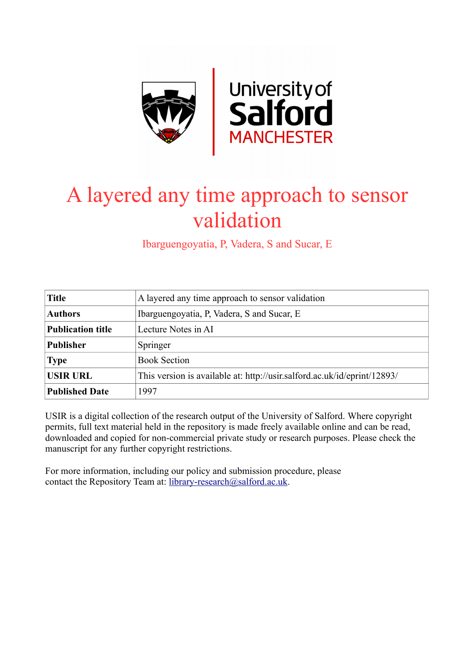

# A layered any time approach to sensor validation

Ibarguengoyatia, P, Vadera, S and Sucar, E

| <b>Title</b>             | A layered any time approach to sensor validation                         |
|--------------------------|--------------------------------------------------------------------------|
| <b>Authors</b>           | Ibarguengoyatia, P, Vadera, S and Sucar, E                               |
| <b>Publication title</b> | Lecture Notes in AI                                                      |
| <b>Publisher</b>         | Springer                                                                 |
| <b>Type</b>              | <b>Book Section</b>                                                      |
| <b>USIR URL</b>          | This version is available at: http://usir.salford.ac.uk/id/eprint/12893/ |
| <b>Published Date</b>    | 1997                                                                     |

USIR is a digital collection of the research output of the University of Salford. Where copyright permits, full text material held in the repository is made freely available online and can be read, downloaded and copied for non-commercial private study or research purposes. Please check the manuscript for any further copyright restrictions.

For more information, including our policy and submission procedure, please contact the Repository Team at: [library-research@salford.ac.uk.](mailto:library-research@salford.ac.uk)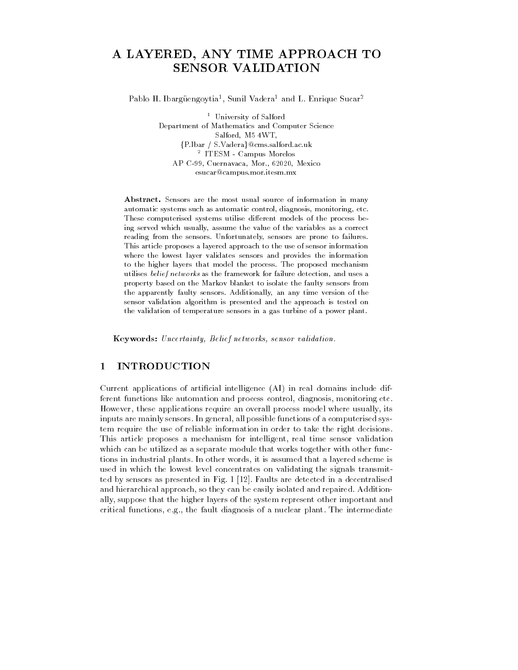## A LAYERED, ANY TIME APPROACH TO SENSOR VALIDATION

Pablo H Ibarguengoytia - Sunil Vadera and L Enrique Sucar

 University of Salford Department of Mathematics and Computer Science salford M - Williams - Williams - Williams - Williams - Williams - Williams - Williams - Williams - Williams -{P.Ibar / S.Vadera}@cms.salford.ac.uk - IIESM - Campus Morelos AP C Cuernavaca Mor and Mor and Mor and More and More and More and More and More and More and More and More an esucar@campus.mor.itesm.mx

Abstract. Sensors are the most usual source of information in many automatic systems such as automatic control, diagnosis, monitoring, etc. These computerised systems utilise different models of the process being served which usually, assume the value of the variables as a correct reading from the sensors. Unfortunately, sensors are prone to failures. This article proposes a layered approach to the use of sensor information where the lowest layer validates sensors and provides the information to the higher layers that model the process The proposed mechanism utilises belief networks as the framework for failure detection, and uses a property based on the Markov blanket to isolate the faulty sensors from the apparently faulty sensors. Additionally, an any time version of the sensor validation algorithm is presented and the approach is tested on the validation of temperature sensors in a gas turbine of a power plant

Keywords: Uncertainty, Belief networks, sensor validation.

#### 1 INTRODUCTION

Current applications of artificial intelligence  $(AI)$  in real domains include different functions like automation and process control- diagnosis- monitoring etc However- these applications require an overall process model where usually- its inputs are mainly sensors In general- all possible functions of a computerised sys tem require the use of reliable information in order to take the right decisions This article proposes a mechanism for intelligent- real time sensor validation which can be utilized as a separate module that works together with other func tions in industrial plants In other words- it is assumed that a layered scheme is used in which the lowest level concentrates on validating the signals transmit ted by sensors as presented in Fig Faults are detected in a decentralised and million chical approaches in the probability is and and repaired Additional Companies of the solar companies ally-suppose that the higher layers of the system represent other important and support critical functions-plant diagnosis of a nuclear plant The intermediate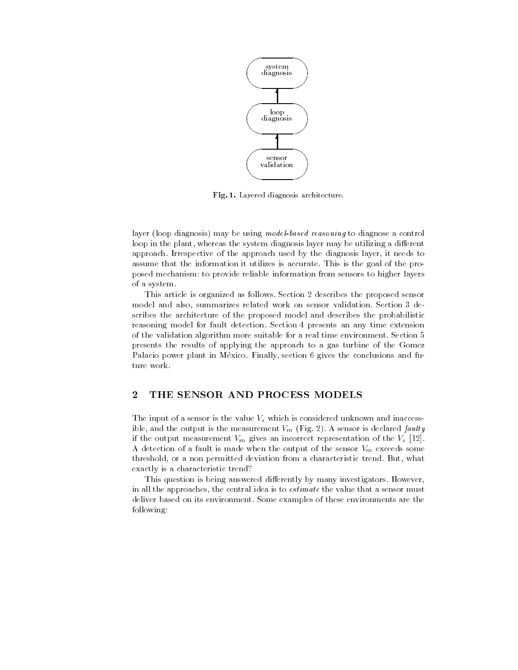

Fig. 1. Layered diagnosis architecture.

 $a$ yer (100p diagnosis) may be using *model-vased reasoning* to diagnose a control loop in the plant- whereas the system diagnosis layer may be utilizing a dierent approach Irrespective of the approach used by the diagnosis layer- it needs to assume that the information it utilizes is accurate. This is the goal of the proposed mechanism to provide reliable information from sensors to higher layers of a system

This article is organized as follows. Section 2 describes the proposed sensor model and also- summarizes related work on sensor validation Section 
 de scribes the architecture of the proposed model and describes the probabilistic reasoning model for fault detection. Section 4 presents an any time extension of the validation algorithm more suitable for a real time environment. Section 5 presents the results of applying the approach to a gas turbine of the Gomez Palacio power plant in Mexico Finally- section gives the conclusions and fu ture work

### THE SENSOR AND PROCESS MODELS

The input of a sensor is the value  $V_s$  which is considered unknown and inaccess- $\alpha$  and the output is the measurement  $\eta_{ll}$   $\rightarrow$   $\eta_{r}$  is sensor is declared faulty if the output measurement  $\eta_l$  gives an incorrect representation of the  $\eta_s$   $\mapsto$ A detection of a fault is made when the output of the sensor  $V_m$  exceeds some threshold- or a non permitted deviation from a characteristic trend But- what exactly is a characteristic trend

This question is being answered differently by many investigators. However, in an the approaches, the central idea is to *estimate* the value that a sensor must deliver based on its environment Some examples of these environments are the following: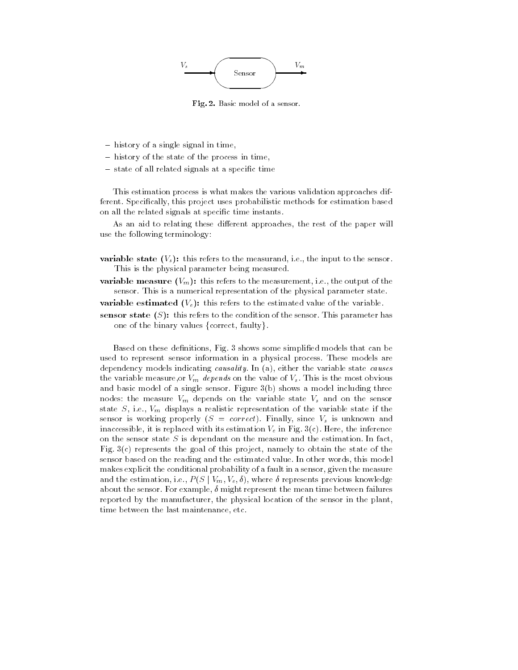

Fig - Basic model of a sensor

- $-$  history of a single signal in time.
- history of the state of the process in time,
- $-$  state of all related signals at a specific time

This estimation process is what makes the various validation approaches dif ferent Specically- this project uses probabilistic methods for estimation based on all the related signals at specific time instants.

As an aid to relating these dierent approaches- the rest of the paper will use the following terminology

variable state  $\{r_s\}$ , this refers to the measurand-nequence input to the sensor. This is the physical parameter being measured

variable measure  $(\cdot)$  /  $\cdot$  measurement measurement increases on the subsensor. This is a numerical representation of the physical parameter state

variable estimated -  $\{P_i\}$ , this refers to the estimated value of the value of

sensor state  $\{v\}$ , this refers to the condition of the sensor, ring parameter has one of the binary values  $\{ \text{correct}, \, \text{faulty} \}$ .

 $\mathbf{B}$  figure some simplicity some simplicity  $\mathbf{B}$ used to represent sensor information in a physical process These models are dependency models indicating causality in (w), crime the large-cause causes of one variable measure-or  $\eta_R$  appeals on the value of  $\eta_S$  This is the most obvious and basic model of a single sensor. Figure  $3(b)$  shows a model including three nodes: the measure  $V_m$  depends on the variable state  $V_s$  and on the sensor etate S-, fiel, *Till* and they a realistic representation of the variable state if the sensor is working properly  $\sim$  correctly-rimany-since  $\sim$  since  $\sim$  and  $\sim$ inaccessible- it is replaced with its estimation Ve in Fig 
c Here- the inference on the sensor state S is dependant on the measure and the estimation. In fact, Fig 
c represents the goal of this project- namely to obtain the state of the sensor based on the reading and the estimated value In other words- this model makes explicit the conditional probability of a fault in a sensor- given the measure and the estimation, i.e.,  $P(S \mid V_m, V_e, \delta)$ , where  $\delta$  represents previous knowledge  $\alpha$ bout the sensor, For example,  $\sigma$  might represent the mean time between failures  $\sigma$ reported by the manufacturer- the physical location of the sensor in the planttime between the last maintenance-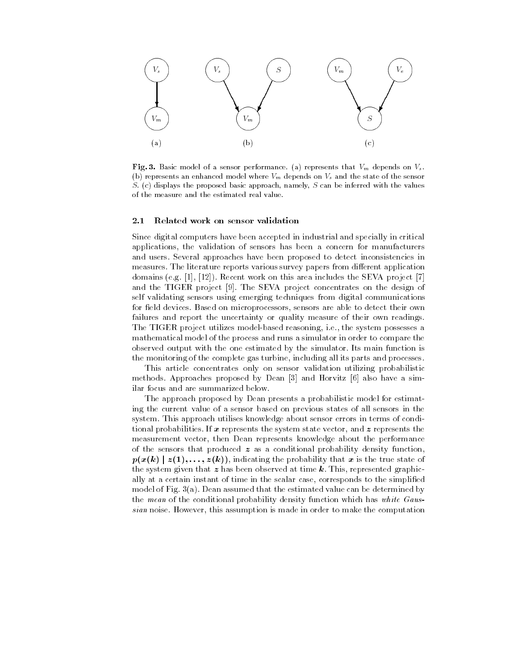

Fig. 3. Basic model of a sensor performance. (a) represents that  $V_m$  depends on  $V_s$ . (b) represents an enhanced model where  $V_m$  depends on  $V_s$  and the state of the sensor  $S.$  (c) displays the proposed basic approach, namely,  $S$  can be inferred with the values of the measure and the estimated real value

#### $2.1$ Related work on sensor validation

Since digital computers have been accepted in industrial and specially in critical applications- the validation of sensors has been a concern for manufacturers and users Several approaches have been proposed to detect inconsistencies in measures. The literature reports various survey papers from different application  $\Lambda$  - Recent work on this area includes the SEVA projection on the SEVA projection of  $\Lambda$ and the TIGER project The SEVA project concentrates on the design of self validating sensors using emerging techniques from digital communications for eld devices Based on microprocessors- sensors are able to detect their own failures and report the uncertainty or quality measure of their own readings The TIGER project utilizes modelbased reasoning- ie- the system possesses a mathematical model of the process and runs a simulator in order to compare the observed output with the one estimated by the simulator Its main function is the monitoring of the complete gas turbine- including all its parts and processes

This article concentrates only on sensor validation utilizing probabilistic methods Approaches proposed by Dean and Horvitz also have a sim ilar focus and are summarized below

The approach proposed by Dean presents a probabilistic model for estimat ing the current value of a sensor based on previous states of all sensors in the system. This approach utilises knowledge about sensor errors in terms of conditional probabilities If <sup>x</sup> represents the system state vector- and <sup>z</sup> represents the measurement vector- then Dean represents knowledge about the performance of the sensors that produced  $z$  as a conditional probability density function, p- are also the probability that indicates the probability that is the state of the state of the state of the s the system given that it has been observed at time k This- of time  $\mathcal{L}_\mathbf{r}$ ally at a certain instant of time in the state-case-case-ponds for the simplified  $\alpha$ model of Fig.  $3(a)$ . Dean assumed that the estimated value can be determined by the mean of the conditional probability density function which has white Gausof an increase the second test condition is defined in order to mean one computed that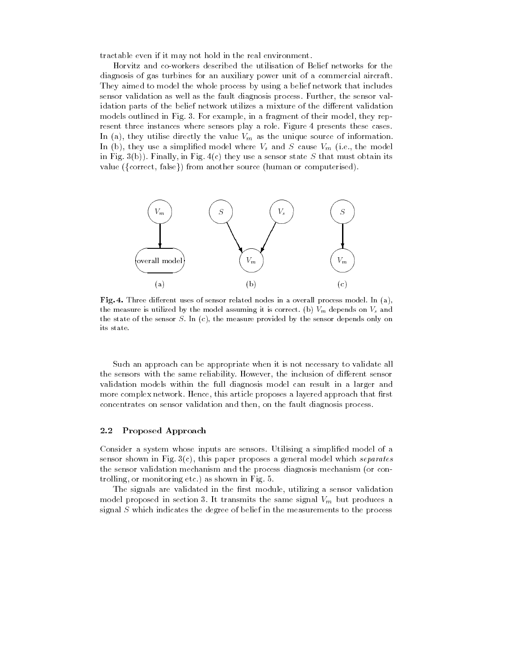tractable even if it may not hold in the real environment

Horvitz and coworkers described the utilisation of Belief networks for the diagnosis of gas turbines for an auxiliary power unit of a commercial aircraft They aimed to model the whole process by using a belief network that includes sensor validation as well as the fault diagnosis process Further- the sensor val idation parts of the belief network utilizes a mixture of the different validation models outlined in Fig 
 For example- in a fragment of their model- they rep resent three instances where sensors play a role. Figure 4 presents these cases. In  $\{a_j\}$  are utilize an every vile value  $\epsilon_{lll}$  as the unique source of information. In  $(v)$ , they also a simplified model where  $v_s$  and  $v$  cause  $v_m$  (i.e., the model in Fig.  $\sigma(\nu)$ . Finally, in Fig. 1(c) they use a sensor state  $\nu$  that must obtain for value ({correct, false}) from another source (human or computerised).



Fig. 4. Three different uses of sensor related nodes in a overall process model. In  $(a)$ , the measure is utilized by the model assuming it is correct. (b)  $V_m$  depends on  $V_s$  and the state of the sensor  $S$ . In (c), the measure provided by the sensor depends only on its state

Such an approach can be appropriate when it is not necessary to validate all the sensors with the same reliability However- the inclusion of dierent sensor validation models within the full diagnosis model can result in a larger and more complex network Hence- this article proposes a layered approach that rst concentrates on sensor validation and then- on the fault diagnosis process

#### 2.2 Proposed Approach

Consider a system whose inputs are sensors Utilising a simplied model of a sensor shown in Fig. of of, this paper proposes a general model which separates the sensor validation mechanism and the process diagnosis mechanism (or controlling-trouble-company in the shown in Fig. 1.

The signals are validated in the rst module- utilizing a sensor validation model proposed in section 3. It transmits the same signal  $V_m$  but produces a signal  $S$  which indicates the degree of belief in the measurements to the process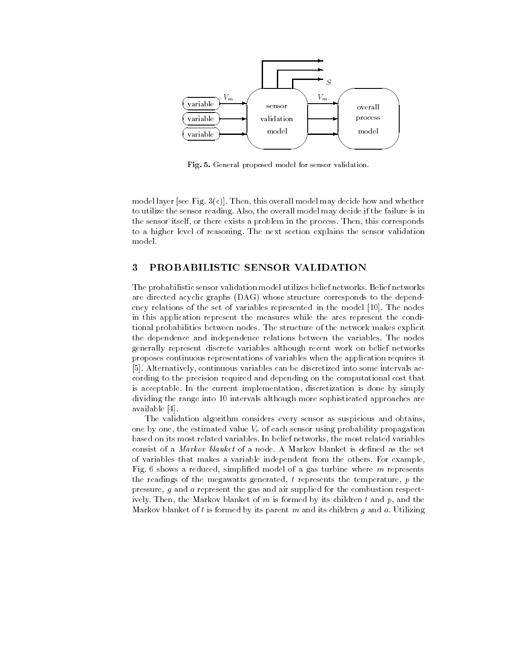

Fig. 5. General proposed model for sensor validation.

model layer see Fig 
c Then- this overall model may decide how and whether to utilize the sensor reading  $\mathcal{M}$ the sensor itself- or there exists a problem in the process Then- this corresponds to a higher level of reasoning The next section explains the sensor validation model

#### $\rm{3}$ PROBABILISTIC SENSOR VALIDATION

The probabilistic sensor validation model utilizes belief networks Belief networks are directed acyclic graphs (DAG) whose structure corresponds to the dependency relations of the set of variables represented in the model The nodes in this application represent the measures while the arcs represent the condi tional probabilities between nodes The structure of the network makes explicit the dependence and independence relations between the variables The nodes generally represent discrete variables although recent work on belief networks proposes continuous representations of variables when the application requires it , continuous variables continuous variables can be discretized into some into some intervals and cording to the precision required and depending on the computational cost that is acceptable In the current implementation- discretization is done by simply dividing the range into 10 intervals although more sophisticated approaches are available

The validation algorithm considers every sensor as suspicious and obtains, one by one- the estimated value Ve of each sensor using probability propagation based on its most related variables In belief networks- the most related variables consist of a *Markov blanket* of a node. A Markov blanket is defined as the set of variables that makes a variable independent from the others. For example, rig, o shows a reduced, shiphifed model of a gas turbine where m represents the readings of the megawatts generated, t represents the temperature, p the pressure- <sup>g</sup> and <sup>a</sup> represent the gas and air supplied for the combustion respect ively Then- the Markov blanket of <sup>m</sup> is formed by its children <sup>t</sup> and p- and the Markov blanket of t is formed by its parent m and its children g and a. Utilizing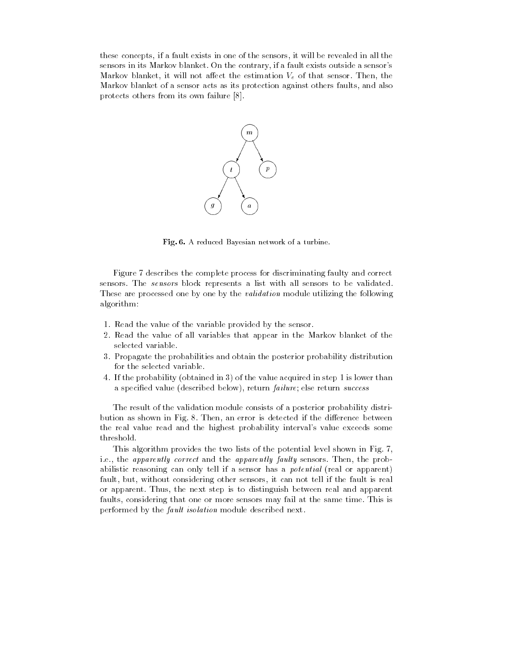these concepts-in one of the sensors-the sensors-the sensors-the sensors-the sensors-the sensors-the sensorssensors in its Markov blanket On the contrary- if a fault exists outside a sensors  $\mathbf{H}$  . Then, the main  $\mathbf{H}$  is a sequence the commutation  $\mathbf{H}$  is  $\mathbf{H}$  . Then, the sensor  $\mathbf{H}$ Markov blanket of a sensor acts as its protection against others faults- and also protects others from its own failure



Fig. 6. A reduced Bayesian network of a turbine.

Figure 7 describes the complete process for discriminating faulty and correct sensors. The *sensors* block represents a list with all sensors to be validated. These are processed one by one by the *validation* module utilizing the following algorithm

- 1. Read the value of the variable provided by the sensor.
- 2. Read the value of all variables that appear in the Markov blanket of the selected variable
- Propagate the probabilities and obtain the posterior probability distribution for the selected variable
- 4. If the probability (obtained in 3) of the value acquired in step 1 is lower than a specificat value (described below), return famale, else return success

The result of the validation module consists of a posterior probability distri bution as shown in Fig : Fig. ... ... .... is different if the difference between the real value read and the highest probability interval's value exceeds some threshold

This algorithm provides the two lists of the potential level shown in Fig. 7, i.e., the *apparently correct* and the *apparently faulty* sensors. Then, the probabilistic reasoning can only tell if a sensor has a *potential* (real or apparent) ....., with consider sensors-room sensors- sensors, it can not tell in real the fault is real or apparent Thus- the next step is to distinguish all the step is the step parent. faults- considering that one or more sensors may fail at the same time This is performed by the fault isolation module described next.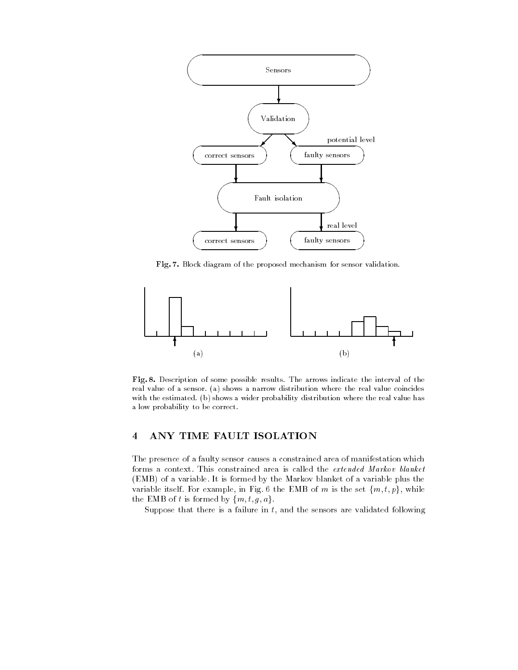

Fig. 7. Block diagram of the proposed mechanism for sensor validation.



Fig. 8. Description of some possible results. The arrows indicate the interval of the real value of a sensor. (a) shows a narrow distribution where the real value coincides with the estimated. (b) shows a wider probability distribution where the real value has a low probability to be correct

### ANY TIME FAULT ISOLATION

The presence of a faulty sensor causes a constrained area of manifestation which forms a context. This constrained area is called the extended Markov blanket (EMB) of a variable. It is formed by the Markov blanket of a variable plus the variable itself. For example, in Fig. 6 the EMB of m is the set  $\{m, t, p\}$ , while the EMB of t is formed by  $\{m, t, g, a\}$ .

puppose that there is a failure in t, and the sensors are validated reflecting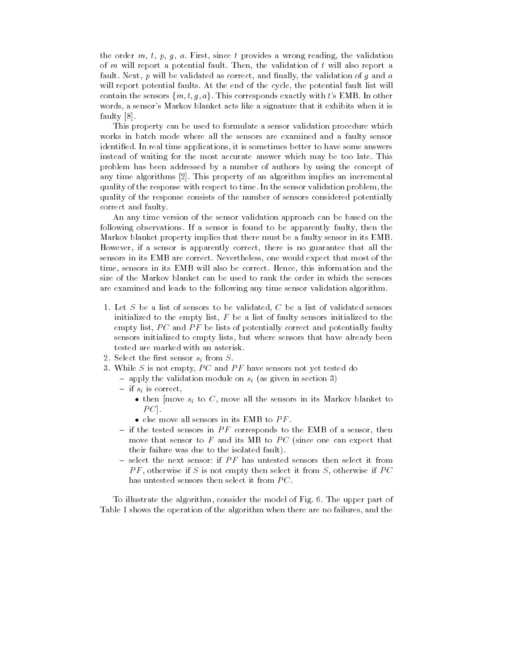the order m, i, p, g, writing, since a provides with examing, the validation of m will report a potential fault: Then, the wildested of t will also report a radio, resig, p will be validated as correct, and inharity the validation of g and a will report potential families included and the cycle-potential fault includes and complete contain the sensors  $\{m, t, q, a\}$ . This corresponds exactly with t's EMB. In other words- a sensor a concert a sensor markov blanket a signature that it exhibits when it can **fault** fault of the second second and second the second second the second second that the second second the second second second second second second second second second second second second second second second second s

This property can be used to formulate a sensor validation procedure which works in batch mode where all the sensors are examined and a faulty sensor identied In real time applications- it is sometimes better to have some answers instead of waiting for the most accurate answer which may be too late. This problem has been addressed byanumber of authors by using the concept of any time algorithm  $\vert \pm \vert$  and  $\vert$  algorithm implies an incremental incremental  $\vert$ quality of the response with respect to time in the sensor value of the sensor value of problemquality of the response consists of the number of sensors considered potentially correct and faulty

An any time version of the sensor validation approach can be based on the following observations If a sensor is found to be apparently faulty- then the Markov blanket property implies that there must be a faulty sensor in its EMB However- if a sensor is apparently correct- there is no guarantee that all the sensors in its EMB are correct Nevertheless- one would expect that most of the time-the-benzors in its EMB will also be correct Hence-International and the correct Hence-International and thesize of the Markov blanket can be used to rank the order in which the sensors are examined and leads to the following any time sensor validation algorithm

- Let  $D$  be a list of sensors to be validated. Only a list of validated sensors informing to the third, hold a list of fault, strated the shown to the  $\rho$  empty list,  $P \subset \text{and } P$  be lists of potentially correct and potentially faulty sensors initialized to empty indicated control sensors that have already been already tested are marked with an asterisk
- 2. Select the first sensor  $s_i$  from  $S$ .
- $\sigma$ . While  $\sigma$  is not empty,  $I \cup \text{and } I$  is have sensors not yet tested do
	- apply the validation module on  $s_i$  (as given in section 3)
	- $-$  if  $s_i$  is correct.
		- $\bullet$  then |move  $s_i$  to  $C$ , move all the sensors in its Markov blanket to  $\overline{1}$  C  $\overline{1}$ .
		- $\bullet$  else move all sensors in its EMB to  $PF$  .
	- If the tested sensors in FF corresponds to the EMB of a sensor, then move that sensor to F and its MB to PC (since one can expect that their failure was due to the isolated fault
	- $-$  select the next sensor: if  $PF$  has untested sensors then select it from F  $F$ , otherwise if  $D$  is not empty then select it from  $D$ , otherwise if  $T$  C has untested sensors then select it from  $PC$ .

to interest the model of the model into the model of the model of  $\mathbb{F}_p$  is the upper part of Table shows the operation of the algorithm when there are no failures- and the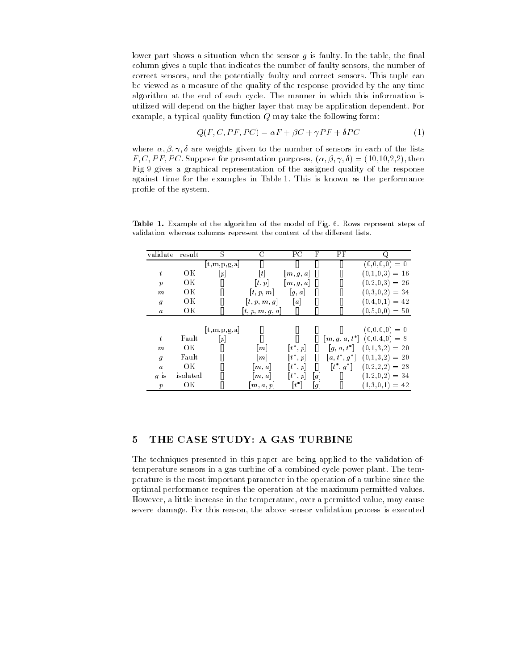lower part shows a situation when the sensor <sup>g</sup> is faulty In the table- the nal column gives a tuple that indicates the number of faulty sensors- the number of correct sensors- and the potentially faulty and correct sensors This tuple can be viewed as a measure of the quality of the response provided by the any time algorithm at the end of each cycle The manner in which this information is utilized will depend on the higher layer that may be application dependent For example, a typical quality function  $\phi$  may take the following form.

$$
Q(F, C, PF, PC) = \alpha F + \beta C + \gamma PF + \delta PC \tag{1}
$$

where  $\alpha, \beta, \gamma, \theta$  are weights given to the number of sensors in each of the fists  $F, \cup, I, I, I \cup$ . Suppose for presentation purposes,  $(\alpha, \beta, \gamma, \theta) = (10, 10, 2, 2)$ , then Fig 9 gives a graphical representation of the assigned quality of the response against time for the examples in Table 1. This is known as the performance profile of the system.

validate result S C PC F PF Q  $\mathcal{C}$ F PF  $[t,m,p,g,a]$   $[]$   $[]$   $[]$  OK  $[p]$   $[t]$   $[m, g, a]$   $[]$   $[]$ t $\cdots$ OK  $[t, p]$   $[m, g, a]$  [] [] p  $\hbox{OK} \qquad \left[\begin{matrix} \end{matrix}\right] \qquad \left[t, p, m\right] \qquad \left[\begin{matrix} g, a \end{matrix}\right] \quad \left[\begin{matrix} \end{matrix}\right] \qquad \left[\begin{matrix} \end{matrix}\right]$ m 
 -OK  $[$   $[t, p, m, g]$   $[a]$   $[$   $]$ g- - OK  $[$   $[t, p, m, g, a]$   $[]$   $[]$ a  $[t,m,p,g,a]$   $[]$   $[]$   $[]$  Fault  $[p]$   $[]$   $[]$   $[]$   $[m, g, a, t^*]$ t  - OK  $[$   $[m]$   $[t^*, p]$  $\begin{bmatrix} 1 & [g, a, t^*] \end{bmatrix}$ m $\cdots$ Fault  $[]$   $[m]$   $[t^*, p]$ g $p \mid \mathbf{a} \cdot \mathbf{t} \cdot \mathbf{a} \mid \mathbf{a}$ . . . . . . OK  $[$   $[m, a]$   $[t^*, p]$ a $\Box p$   $\Box t$   $\Box q$   $\Box$ . . . . . . . isolated  $[]$   $[m, a]$  $[t^*,p] \quad [g] \qquad []$  $(1,2,0,2) = 34$ g is OK  $[$   $[m, a, p]$   $[t^*]$  $\boldsymbol{p}$ g  - 

Table 1. Example of the algorithm of the model of Fig. 6. Rows represent steps of validation whereas columns represent the content of the different lists.

## 5 THE CASE STUDY: A GAS TURBINE

The techniques presented in this paper are being applied to the validation of temperature sensors in a gas turbine of a combined cycle power plant. The temperature is the most important parameter in the operation of a turbine since the optimal performance requires the operation at the maximum permitted values However- a little increase in the temperature- over a permitted value- may cause severe damage For this reason-process is executed indication process in executive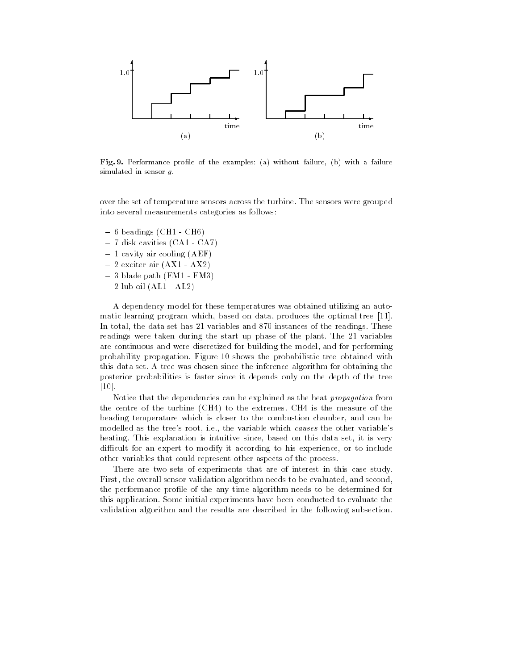

Fig. 9. Performance profile of the examples: (a) without failure, (b) with a failure simulated in sensor  $g$ .

over the set of temperature sensors across the turbine The sensors were grouped into several measurements categories as follows

- $-6$  beadings (CH1 CH6)
- $-7$  disk cavities (CA1 CA7)
- $-1$  cavity air cooling (AEF)
- $-2$  exciter air  $(AX1 AX2)$
- $-3$  blade path (EM1 EM3)
- $-2$  lub oil  $(AL1 AL2)$

A dependency model for these temperatures was obtained utilizing an auto matic learning program which- based on data- produces the optimal tree In total- the data set has variables and instances of the readings These readings were taken during the start up phase of the plant. The 21 variables are continuous and were discretized for building the model- and for performing probability propagation. Figure 10 shows the probabilistic tree obtained with this data set. A tree was chosen since the inference algorithm for obtaining the posterior probabilities is faster since it depends only on the depth of the tree . . . . .

Notice that the dependencies can be explained as the heat *propagation* from the centre of the turbine (CH4) to the extremes. CH4 is the measure of the beading temperature which is closer to the combustion chamber- and can be  $\mathbf n$  is the variable  $\mathbf n$  the variable which causes the other variables  $\mathbf n$ heating This explanation is intuitive since- based on this data set- it is very adicult for an expert to distance, it according to discuss the contract of the second other variables that could represent other aspects of the process

There are two sets of experiments that are of interest in this case study. First- the overall sensor validation algorithm needs to be evaluated- and secondthe performance profile of the any time algorithm needs to be determined for this application Some initial experiments have been conducted to evaluate the validation algorithm and the results are described in the following subsection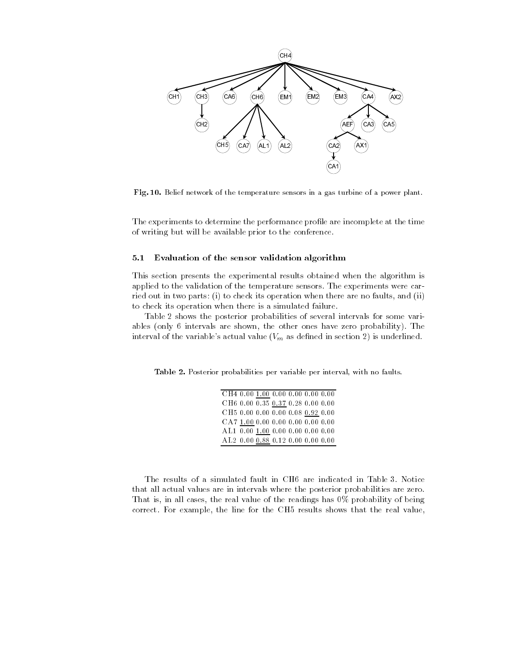

Fig Belief network of the temperature sensors in a gas turbine of a power plant

The experiments to determine the performance profile are incomplete at the time of writing but will be available prior to the conference

#### Evaluation of the sensor validation algorithm

This section presents the experimental results obtained when the algorithm is applied to the validation of the temperature sensors. The experiments were carried out in the parts (i) is there are specificial him there are no faults-  $\mathcal{L}_{\mathcal{A}}$ to check its operation when there is a simulated failure

Table 2 shows the posterior probabilities of several intervals for some variables (show) is not the other shown-shown-shown-shown-shown-shown-shown-shown-showninterval of the variable's actual value  $(V_m$  as defined in section 2) is underlined.

Table - Posterior probabilities per variable per interval with no faults

| CH4 0.00 1.00 0.00 0.00 0.00 0.00             |  |  |
|-----------------------------------------------|--|--|
| CH6 0.00 0.35 0.37 0.28 0.00 0.00             |  |  |
| CH5 0.00 0.00 0.00 0.08 0.92 0.00             |  |  |
| CA7 1.00 0.00 0.00 0.00 0.00 0.00             |  |  |
| AL1 0.00 1.00 0.00 0.00 0.00 0.00             |  |  |
| AL <sub>2</sub> 0.00 0.88 0.12 0.00 0.00 0.00 |  |  |

The results of a simulated fault in CH6 are indicated in Table 3. Notice that all actual values are in intervals where the posterior probabilities are zero that is all cases that is a real value of the real value of the real value of the real  $\pi$ correct For the line for the line for the correct shows that the real value-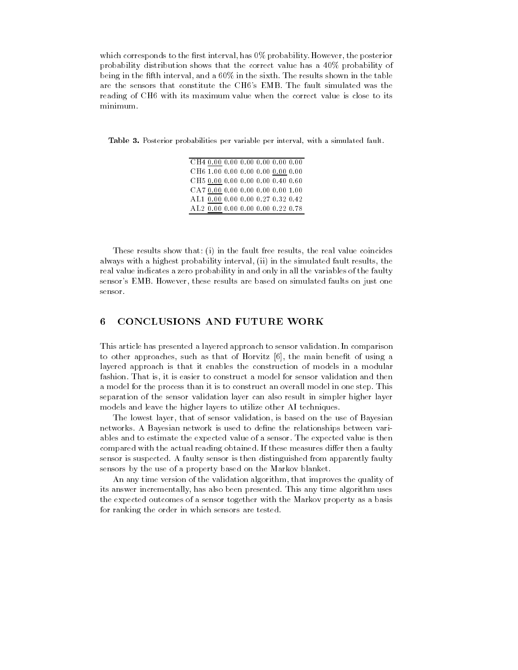which corresponds to the rst interval-the rst interval-the posterior interval-the posterior interval-the posterior probability distribution shows that the correct value has a 40% probability of . ...., in the first interval-ing intervalse shown in the sixth  $\alpha$  in the sixth  $\alpha$  in the table are the sensors that constitute the CH6's EMB. The fault simulated was the reading of CH6 with its maximum value when the correct value is close to its minimum.

Table 3. Posterior probabilities per variable per interval, with a simulated fault.

| CH40.000.000.000.000.000.000.00   |  |  |  |
|-----------------------------------|--|--|--|
| CH6 1.00 0.00 0.00 0.00 0.00 0.00 |  |  |  |
| CH5 0.00 0.00 0.00 0.00 0.40 0.60 |  |  |  |
| CA70.000.000.000.000.0001.00      |  |  |  |
| AL1 0.00 0.00 0.00 0.27 0.32 0.42 |  |  |  |
| AL2 0.00 0.00 0.00 0.00 0.22 0.78 |  |  |  |

These results show that i in the fault free results- the real value coincides always with a highest probability interval-up, in the simulated fault resultsreal value indicates a zero probability in and only in all the variables of the faulty sensors are these results are based on simulated faults are based on simulated fault some compared faults on t sensor.

## CONCLUSIONS AND FUTURE WORK

This article has presented a layered approach to sensor validation In comparison to other approaches- such as that of Horvitz - the main benet of using a layered approach is that it enables the construction of models in a modular fashion That is- it is easier to construct a model for sensor validation and then a model for the process than it is to construct an overall model in one step. This separation of the sensor validation layer can also result in simpler higher layer models and leave the higher layers to utilize other AI techniques

The lowest layer- that of sensor validation- is based on the use of Bayesian networks. A Bayesian network is used to define the relationships between variables and to estimate the expected value of a sensor The expected value is then compared with the actual reading obtained. If these measures differ then a faulty sensor is suspected. A faulty sensor is then distinguished from apparently faulty sensors by the use of a property based on the Markov blanket

An any time version of the validation algorithm- that improves the quality of its answer incrementally- has also been presented This any time algorithm uses the expected outcomes of a sensor together with the Markov property as a basis for ranking the order in which sensors are tested